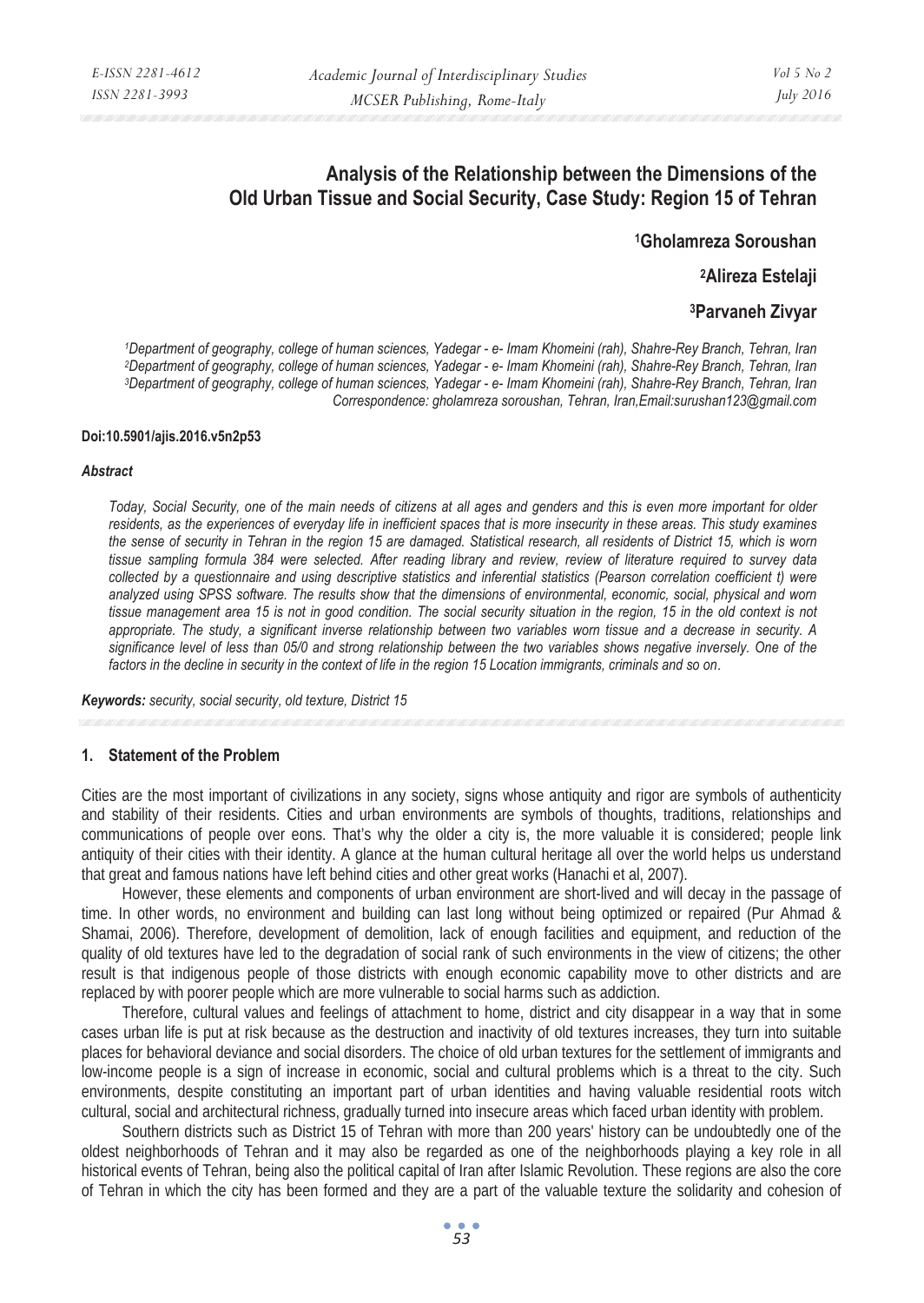# **Analysis of the Relationship between the Dimensions of the Old Urban Tissue and Social Security, Case Study: Region 15 of Tehran**

**1Gholamreza Soroushan** 

**2Alireza Estelaji** 

# **3Parvaneh Zivyar**

1Department of geography, college of human sciences, Yadegar - e- Imam Khomeini (rah), Shahre-Rey Branch, Tehran, Iran<br>2Department of geography, college of human sciences, Yadegar - e- Imam Khomeini (rah), Shahre-Rey Branc *Correspondence: gholamreza soroushan, Tehran, Iran,Email:surushan123@gmail.com* 

#### **Doi:10.5901/ajis.2016.v5n2p53**

#### *Abstract*

*Today, Social Security, one of the main needs of citizens at all ages and genders and this is even more important for older residents, as the experiences of everyday life in inefficient spaces that is more insecurity in these areas. This study examines the sense of security in Tehran in the region 15 are damaged. Statistical research, all residents of District 15, which is worn tissue sampling formula 384 were selected. After reading library and review, review of literature required to survey data collected by a questionnaire and using descriptive statistics and inferential statistics (Pearson correlation coefficient t) were analyzed using SPSS software. The results show that the dimensions of environmental, economic, social, physical and worn tissue management area 15 is not in good condition. The social security situation in the region, 15 in the old context is not appropriate. The study, a significant inverse relationship between two variables worn tissue and a decrease in security. A*  significance level of less than 05/0 and strong relationship between the two variables shows negative inversely. One of the *factors in the decline in security in the context of life in the region 15 Location immigrants, criminals and so on*.

*Keywords: security, social security, old texture, District 15*

#### **1. Statement of the Problem**

Cities are the most important of civilizations in any society, signs whose antiquity and rigor are symbols of authenticity and stability of their residents. Cities and urban environments are symbols of thoughts, traditions, relationships and communications of people over eons. That's why the older a city is, the more valuable it is considered; people link antiquity of their cities with their identity. A glance at the human cultural heritage all over the world helps us understand that great and famous nations have left behind cities and other great works (Hanachi et al, 2007).

However, these elements and components of urban environment are short-lived and will decay in the passage of time. In other words, no environment and building can last long without being optimized or repaired (Pur Ahmad & Shamai, 2006). Therefore, development of demolition, lack of enough facilities and equipment, and reduction of the quality of old textures have led to the degradation of social rank of such environments in the view of citizens; the other result is that indigenous people of those districts with enough economic capability move to other districts and are replaced by with poorer people which are more vulnerable to social harms such as addiction.

Therefore, cultural values and feelings of attachment to home, district and city disappear in a way that in some cases urban life is put at risk because as the destruction and inactivity of old textures increases, they turn into suitable places for behavioral deviance and social disorders. The choice of old urban textures for the settlement of immigrants and low-income people is a sign of increase in economic, social and cultural problems which is a threat to the city. Such environments, despite constituting an important part of urban identities and having valuable residential roots witch cultural, social and architectural richness, gradually turned into insecure areas which faced urban identity with problem.

Southern districts such as District 15 of Tehran with more than 200 years' history can be undoubtedly one of the oldest neighborhoods of Tehran and it may also be regarded as one of the neighborhoods playing a key role in all historical events of Tehran, being also the political capital of Iran after Islamic Revolution. These regions are also the core of Tehran in which the city has been formed and they are a part of the valuable texture the solidarity and cohesion of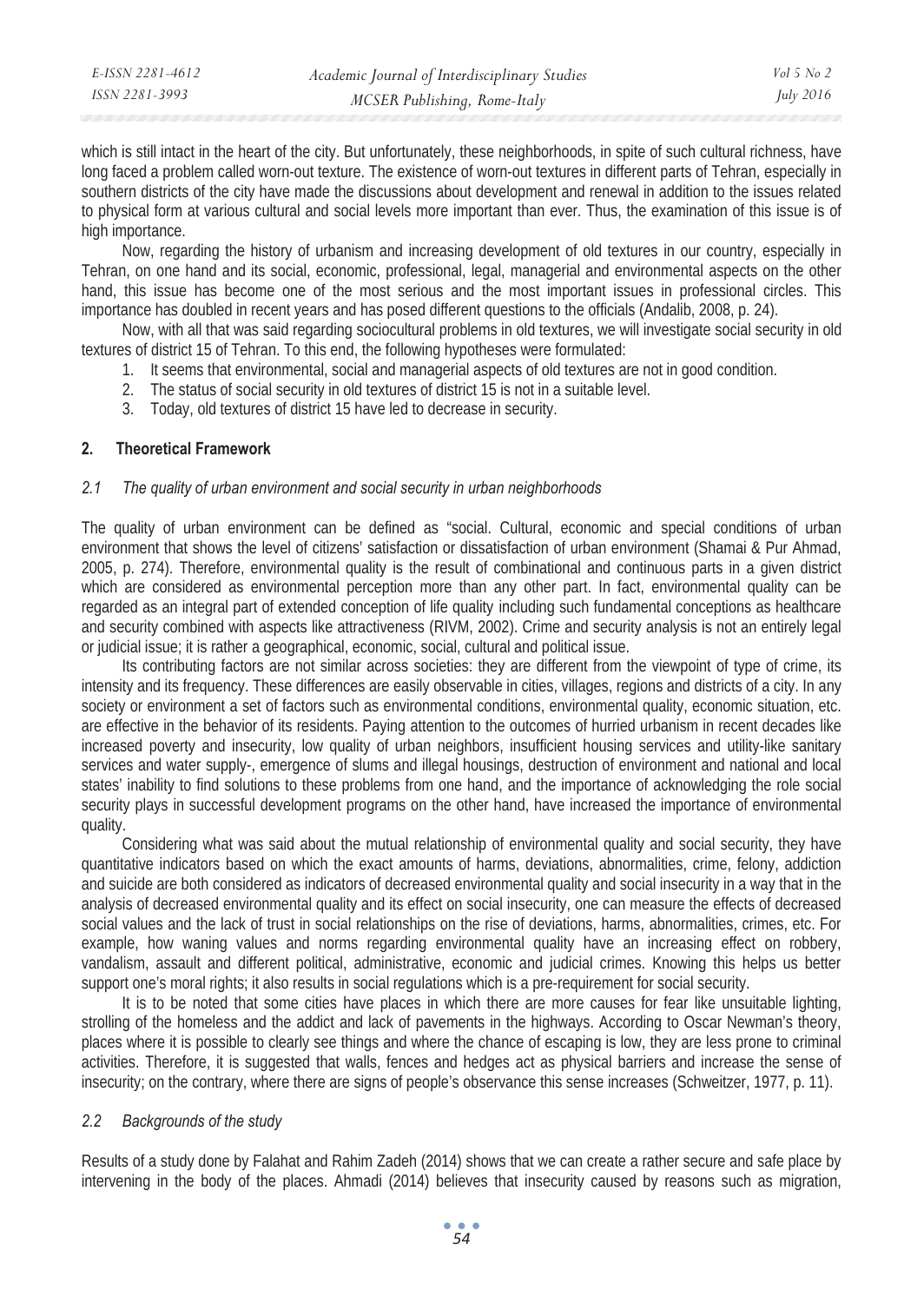which is still intact in the heart of the city. But unfortunately, these neighborhoods, in spite of such cultural richness, have long faced a problem called worn-out texture. The existence of worn-out textures in different parts of Tehran, especially in southern districts of the city have made the discussions about development and renewal in addition to the issues related to physical form at various cultural and social levels more important than ever. Thus, the examination of this issue is of high importance.

Now, regarding the history of urbanism and increasing development of old textures in our country, especially in Tehran, on one hand and its social, economic, professional, legal, managerial and environmental aspects on the other hand, this issue has become one of the most serious and the most important issues in professional circles. This importance has doubled in recent years and has posed different questions to the officials (Andalib, 2008, p. 24).

Now, with all that was said regarding sociocultural problems in old textures, we will investigate social security in old textures of district 15 of Tehran. To this end, the following hypotheses were formulated:

- 1. It seems that environmental, social and managerial aspects of old textures are not in good condition.
- 2. The status of social security in old textures of district 15 is not in a suitable level.
- 3. Today, old textures of district 15 have led to decrease in security.

## **2. Theoretical Framework**

### *2.1 The quality of urban environment and social security in urban neighborhoods*

The quality of urban environment can be defined as "social. Cultural, economic and special conditions of urban environment that shows the level of citizens' satisfaction or dissatisfaction of urban environment (Shamai & Pur Ahmad, 2005, p. 274). Therefore, environmental quality is the result of combinational and continuous parts in a given district which are considered as environmental perception more than any other part. In fact, environmental quality can be regarded as an integral part of extended conception of life quality including such fundamental conceptions as healthcare and security combined with aspects like attractiveness (RIVM, 2002). Crime and security analysis is not an entirely legal or judicial issue; it is rather a geographical, economic, social, cultural and political issue.

Its contributing factors are not similar across societies: they are different from the viewpoint of type of crime, its intensity and its frequency. These differences are easily observable in cities, villages, regions and districts of a city. In any society or environment a set of factors such as environmental conditions, environmental quality, economic situation, etc. are effective in the behavior of its residents. Paying attention to the outcomes of hurried urbanism in recent decades like increased poverty and insecurity, low quality of urban neighbors, insufficient housing services and utility-like sanitary services and water supply-, emergence of slums and illegal housings, destruction of environment and national and local states' inability to find solutions to these problems from one hand, and the importance of acknowledging the role social security plays in successful development programs on the other hand, have increased the importance of environmental quality.

Considering what was said about the mutual relationship of environmental quality and social security, they have quantitative indicators based on which the exact amounts of harms, deviations, abnormalities, crime, felony, addiction and suicide are both considered as indicators of decreased environmental quality and social insecurity in a way that in the analysis of decreased environmental quality and its effect on social insecurity, one can measure the effects of decreased social values and the lack of trust in social relationships on the rise of deviations, harms, abnormalities, crimes, etc. For example, how waning values and norms regarding environmental quality have an increasing effect on robbery, vandalism, assault and different political, administrative, economic and judicial crimes. Knowing this helps us better support one's moral rights; it also results in social regulations which is a pre-requirement for social security.

It is to be noted that some cities have places in which there are more causes for fear like unsuitable lighting, strolling of the homeless and the addict and lack of pavements in the highways. According to Oscar Newman's theory, places where it is possible to clearly see things and where the chance of escaping is low, they are less prone to criminal activities. Therefore, it is suggested that walls, fences and hedges act as physical barriers and increase the sense of insecurity; on the contrary, where there are signs of people's observance this sense increases (Schweitzer, 1977, p. 11).

# *2.2 Backgrounds of the study*

Results of a study done by Falahat and Rahim Zadeh (2014) shows that we can create a rather secure and safe place by intervening in the body of the places. Ahmadi (2014) believes that insecurity caused by reasons such as migration,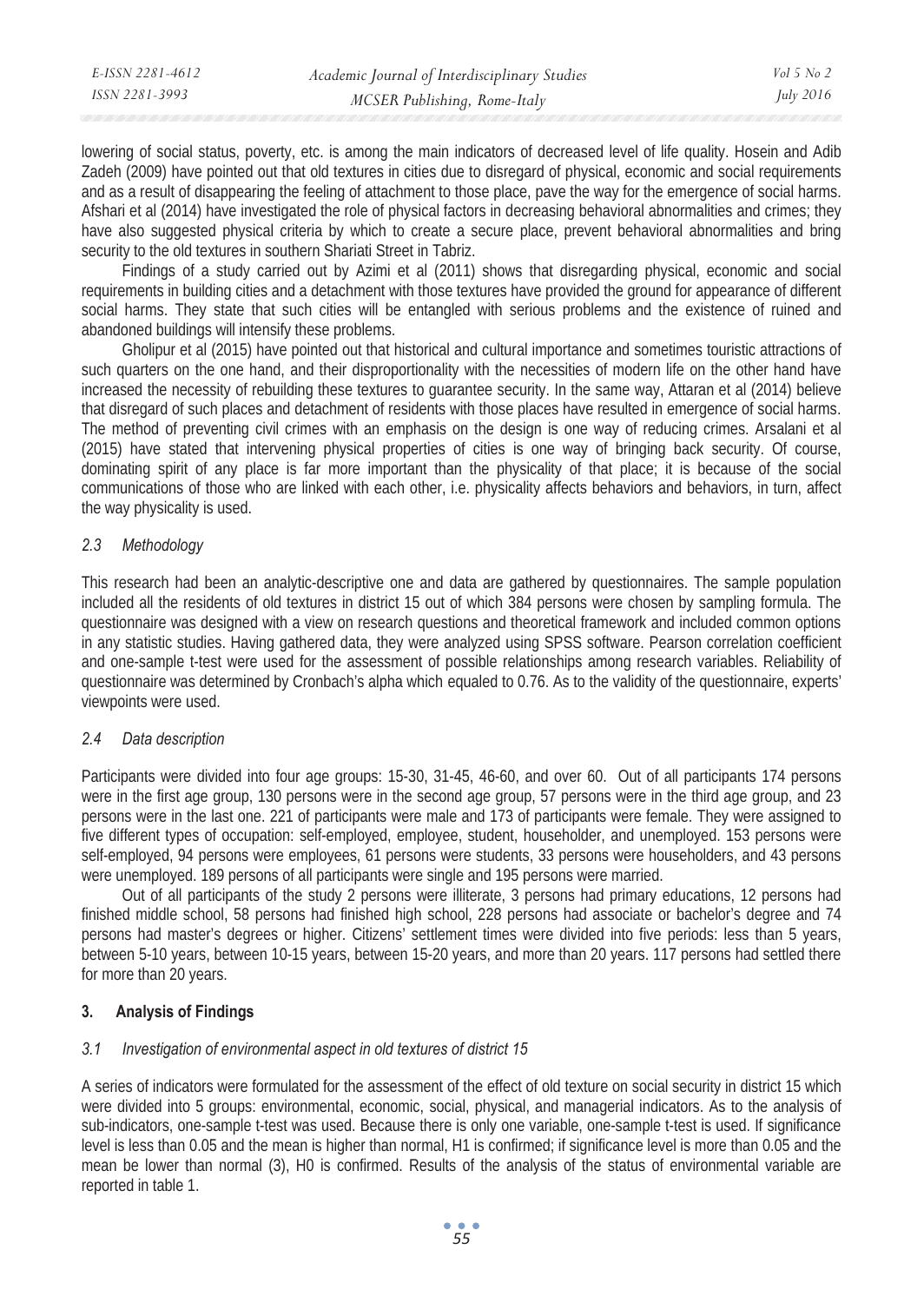| E-ISSN 2281-4612 | Academic Journal of Interdisciplinary Studies | Vol 5 No 2       |
|------------------|-----------------------------------------------|------------------|
| ISSN 2281-3993   | MCSER Publishing, Rome-Italy                  | <i>July 2016</i> |

lowering of social status, poverty, etc. is among the main indicators of decreased level of life quality. Hosein and Adib Zadeh (2009) have pointed out that old textures in cities due to disregard of physical, economic and social requirements and as a result of disappearing the feeling of attachment to those place, pave the way for the emergence of social harms. Afshari et al (2014) have investigated the role of physical factors in decreasing behavioral abnormalities and crimes; they have also suggested physical criteria by which to create a secure place, prevent behavioral abnormalities and bring security to the old textures in southern Shariati Street in Tabriz.

Findings of a study carried out by Azimi et al (2011) shows that disregarding physical, economic and social requirements in building cities and a detachment with those textures have provided the ground for appearance of different social harms. They state that such cities will be entangled with serious problems and the existence of ruined and abandoned buildings will intensify these problems.

Gholipur et al (2015) have pointed out that historical and cultural importance and sometimes touristic attractions of such quarters on the one hand, and their disproportionality with the necessities of modern life on the other hand have increased the necessity of rebuilding these textures to guarantee security. In the same way, Attaran et al (2014) believe that disregard of such places and detachment of residents with those places have resulted in emergence of social harms. The method of preventing civil crimes with an emphasis on the design is one way of reducing crimes. Arsalani et al (2015) have stated that intervening physical properties of cities is one way of bringing back security. Of course, dominating spirit of any place is far more important than the physicality of that place; it is because of the social communications of those who are linked with each other, i.e. physicality affects behaviors and behaviors, in turn, affect the way physicality is used.

# *2.3 Methodology*

This research had been an analytic-descriptive one and data are gathered by questionnaires. The sample population included all the residents of old textures in district 15 out of which 384 persons were chosen by sampling formula. The questionnaire was designed with a view on research questions and theoretical framework and included common options in any statistic studies. Having gathered data, they were analyzed using SPSS software. Pearson correlation coefficient and one-sample t-test were used for the assessment of possible relationships among research variables. Reliability of questionnaire was determined by Cronbach's alpha which equaled to 0.76. As to the validity of the questionnaire, experts' viewpoints were used.

# *2.4 Data description*

Participants were divided into four age groups: 15-30, 31-45, 46-60, and over 60. Out of all participants 174 persons were in the first age group, 130 persons were in the second age group, 57 persons were in the third age group, and 23 persons were in the last one. 221 of participants were male and 173 of participants were female. They were assigned to five different types of occupation: self-employed, employee, student, householder, and unemployed. 153 persons were self-employed, 94 persons were employees, 61 persons were students, 33 persons were householders, and 43 persons were unemployed. 189 persons of all participants were single and 195 persons were married.

Out of all participants of the study 2 persons were illiterate, 3 persons had primary educations, 12 persons had finished middle school, 58 persons had finished high school, 228 persons had associate or bachelor's degree and 74 persons had master's degrees or higher. Citizens' settlement times were divided into five periods: less than 5 years, between 5-10 years, between 10-15 years, between 15-20 years, and more than 20 years. 117 persons had settled there for more than 20 years.

# **3. Analysis of Findings**

## *3.1 Investigation of environmental aspect in old textures of district 15*

A series of indicators were formulated for the assessment of the effect of old texture on social security in district 15 which were divided into 5 groups: environmental, economic, social, physical, and managerial indicators. As to the analysis of sub-indicators, one-sample t-test was used. Because there is only one variable, one-sample t-test is used. If significance level is less than 0.05 and the mean is higher than normal, H1 is confirmed; if significance level is more than 0.05 and the mean be lower than normal (3), H0 is confirmed. Results of the analysis of the status of environmental variable are reported in table 1.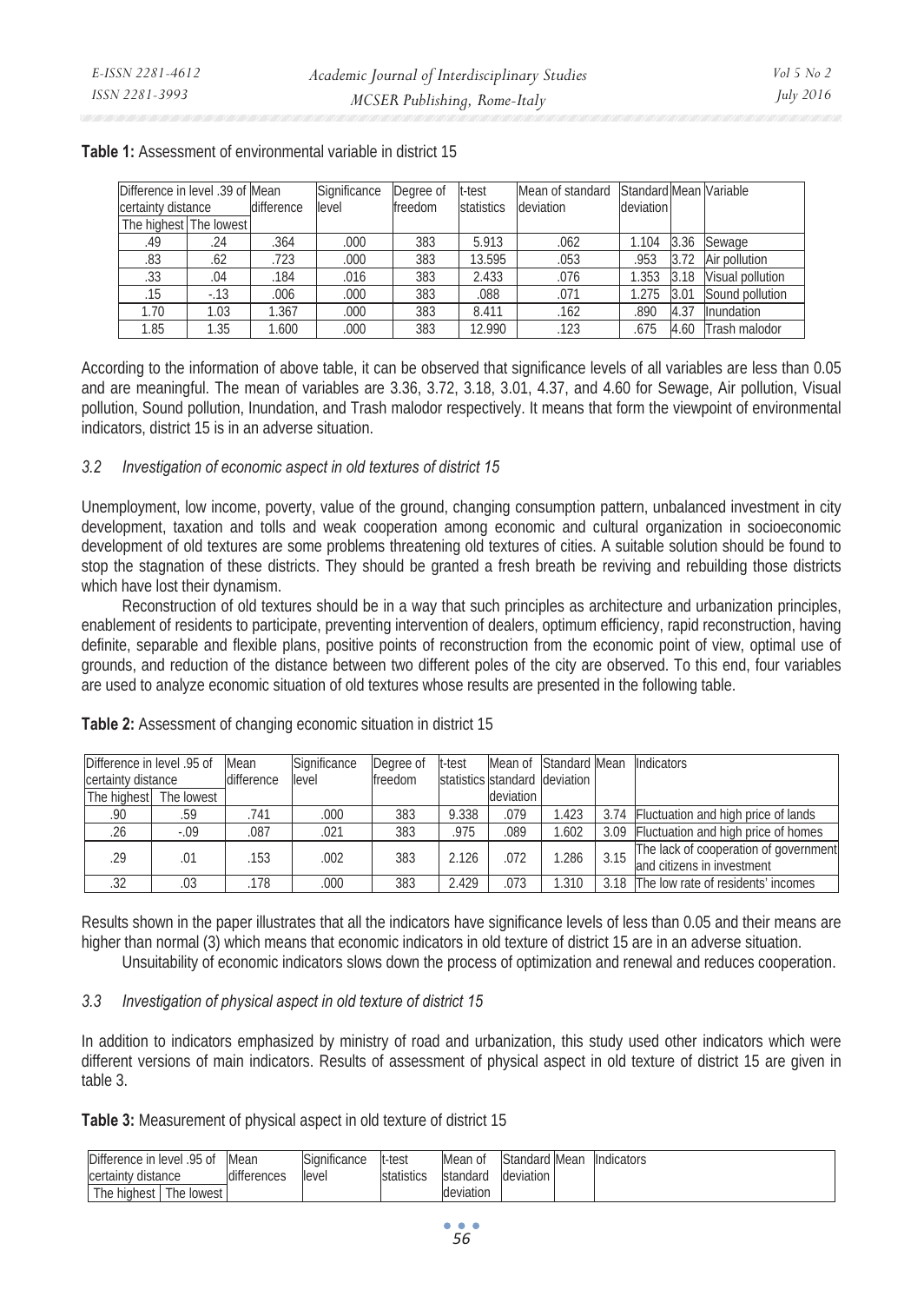|                        | Difference in level .39 of Mean<br>certainty distance<br>difference |       | Significance<br>Degree of<br>freedom<br>level |     | t-test<br>statistics | Mean of standard<br>deviation | Standard Mean Variable<br>deviation |      |                   |
|------------------------|---------------------------------------------------------------------|-------|-----------------------------------------------|-----|----------------------|-------------------------------|-------------------------------------|------|-------------------|
| The highest The lowest |                                                                     |       |                                               |     |                      |                               |                                     |      |                   |
| .49                    | .24                                                                 | .364  | .000                                          | 383 | 5.913                | .062                          | 1.104                               | 3.36 | Sewage            |
| .83                    | .62                                                                 | .723  | .000                                          | 383 | 13.595               | .053                          | 953                                 | 3.72 | Air pollution     |
| .33                    | .04                                                                 | .184  | .016                                          | 383 | 2.433                | .076                          | .353                                | 3.18 | Visual pollution  |
| .15                    | $-13$                                                               | .006  | .000                                          | 383 | .088                 | .071                          | 1.275                               | 3.01 | Sound pollution   |
| 1.70                   | 1.03                                                                | 1.367 | 000                                           | 383 | 8.411                | .162                          | 890                                 | 4.37 | <b>Inundation</b> |
| 1.85                   | 1.35                                                                | 1.600 | .000                                          | 383 | 12.990               | .123                          | 675                                 | 4.60 | Trash malodor     |

#### **Table 1:** Assessment of environmental variable in district 15

According to the information of above table, it can be observed that significance levels of all variables are less than 0.05 and are meaningful. The mean of variables are 3.36, 3.72, 3.18, 3.01, 4.37, and 4.60 for Sewage, Air pollution, Visual pollution, Sound pollution, Inundation, and Trash malodor respectively. It means that form the viewpoint of environmental indicators, district 15 is in an adverse situation.

## *3.2 Investigation of economic aspect in old textures of district 15*

Unemployment, low income, poverty, value of the ground, changing consumption pattern, unbalanced investment in city development, taxation and tolls and weak cooperation among economic and cultural organization in socioeconomic development of old textures are some problems threatening old textures of cities. A suitable solution should be found to stop the stagnation of these districts. They should be granted a fresh breath be reviving and rebuilding those districts which have lost their dynamism.

Reconstruction of old textures should be in a way that such principles as architecture and urbanization principles, enablement of residents to participate, preventing intervention of dealers, optimum efficiency, rapid reconstruction, having definite, separable and flexible plans, positive points of reconstruction from the economic point of view, optimal use of grounds, and reduction of the distance between two different poles of the city are observed. To this end, four variables are used to analyze economic situation of old textures whose results are presented in the following table.

| Difference in level .95 of |                        | Mean       | Significance | Degree of | t-test |           | Mean of Standard Mean         |      | <b>Indicators</b>                                                   |
|----------------------------|------------------------|------------|--------------|-----------|--------|-----------|-------------------------------|------|---------------------------------------------------------------------|
| certainty distance         |                        | difference | level        | freedom   |        |           | statistics standard deviation |      |                                                                     |
|                            | The highest The lowest |            |              |           |        | deviation |                               |      |                                                                     |
| .90                        | .59                    | .741       | .000         | 383       | 9.338  | .079      | 1.423                         |      | 3.74 Fluctuation and high price of lands                            |
| .26                        | $-.09$                 | .087       | .021         | 383       | .975   | .089      | 1.602                         | 3.09 | Fluctuation and high price of homes                                 |
| .29                        | .01                    | .153       | .002         | 383       | 2.126  | .072      | 1.286                         | 3.15 | The lack of cooperation of government<br>and citizens in investment |
| .32                        | .03                    | .178       | .000         | 383       | 2.429  | .073      | 1.310                         | 3.18 | The low rate of residents' incomes                                  |

**Table 2:** Assessment of changing economic situation in district 15

Results shown in the paper illustrates that all the indicators have significance levels of less than 0.05 and their means are higher than normal (3) which means that economic indicators in old texture of district 15 are in an adverse situation.

Unsuitability of economic indicators slows down the process of optimization and renewal and reduces cooperation.

# *3.3 Investigation of physical aspect in old texture of district 15*

In addition to indicators emphasized by ministry of road and urbanization, this study used other indicators which were different versions of main indicators. Results of assessment of physical aspect in old texture of district 15 are given in table 3.

**Table 3:** Measurement of physical aspect in old texture of district 15

| Difference in level .95 of | Mean        | Significance | lt-test    | Mean of   | Standard Mean | <b>Indicators</b> |
|----------------------------|-------------|--------------|------------|-----------|---------------|-------------------|
| certainty distance         | differences | llevel       | statistics | standard  | deviation     |                   |
| The highest The lowest     |             |              |            | deviation |               |                   |

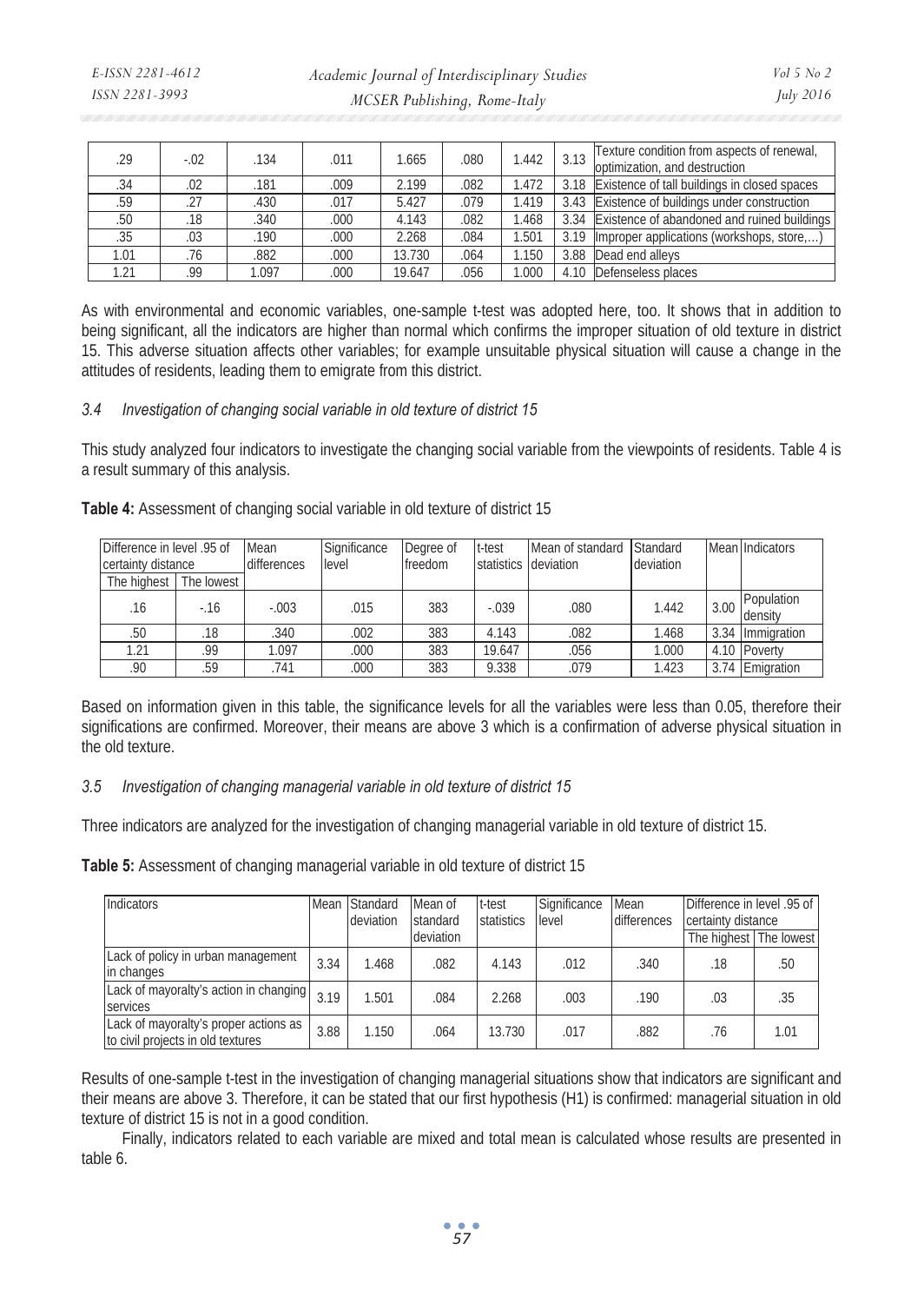| .29  | $-.02$ | .134 | .011 | 1.665  | .080 | 1.442 | 3.13 | Texture condition from aspects of renewal,<br>optimization, and destruction |
|------|--------|------|------|--------|------|-------|------|-----------------------------------------------------------------------------|
| .34  | .02    | 181  | .009 | 2.199  | .082 | 1.472 | 3.18 | Existence of tall buildings in closed spaces                                |
| .59  | .27    | 430  | .017 | 5.427  | .079 | 1.419 | 3.43 | Existence of buildings under construction                                   |
| .50  | .18    | 340  | .000 | 4.143  | .082 | 1.468 | 3.34 | Existence of abandoned and ruined buildings                                 |
| .35  | .03    | 190  | .000 | 2.268  | .084 | 1.501 | 3.19 | Improper applications (workshops, store,)                                   |
| 1.01 | .76    | .882 | .000 | 13.730 | .064 | 1.150 | 3.88 | Dead end alleys                                                             |
| 1.21 | .99    | .097 | .000 | 19.647 | .056 | 1.000 | 4.10 | Defenseless places                                                          |

As with environmental and economic variables, one-sample t-test was adopted here, too. It shows that in addition to being significant, all the indicators are higher than normal which confirms the improper situation of old texture in district 15. This adverse situation affects other variables; for example unsuitable physical situation will cause a change in the attitudes of residents, leading them to emigrate from this district.

#### *3.4 Investigation of changing social variable in old texture of district 15*

This study analyzed four indicators to investigate the changing social variable from the viewpoints of residents. Table 4 is a result summary of this analysis.

| Table 4: Assessment of changing social variable in old texture of district 15 |  |  |
|-------------------------------------------------------------------------------|--|--|
|                                                                               |  |  |

|                    | Mean<br>Difference in level .95 of |             | Significance | Degree of | t-test                | Mean of standard | Standard  |      | Mean Indicators       |
|--------------------|------------------------------------|-------------|--------------|-----------|-----------------------|------------------|-----------|------|-----------------------|
| certainty distance |                                    | differences | level        | freedom   | statistics Ideviation |                  | deviation |      |                       |
| The highest        | The lowest                         |             |              |           |                       |                  |           |      |                       |
| .16                | $-16$                              | $-.003$     | .015         | 383       | $-.039$               | .080             | 1.442     | 3.00 | Population<br>density |
| .50                | .18                                | .340        | .002         | 383       | 4.143                 | .082             | 1.468     | 3.34 | Immigration           |
| 1.21               | .99                                | 1.097       | .000         | 383       | 19.647                | .056             | 1.000     |      | 4.10 Poverty          |
| .90                | .59                                | .741        | .000         | 383       | 9.338                 | .079             | 1.423     | 3.74 | Emigration            |

Based on information given in this table, the significance levels for all the variables were less than 0.05, therefore their significations are confirmed. Moreover, their means are above 3 which is a confirmation of adverse physical situation in the old texture.

## *3.5 Investigation of changing managerial variable in old texture of district 15*

Three indicators are analyzed for the investigation of changing managerial variable in old texture of district 15.

**Table 5:** Assessment of changing managerial variable in old texture of district 15

| Indicators                                                                 |      | Mean Standard<br>deviation | Mean of<br>standard | t-test<br>statistics | Significance<br>level | Mean<br>differences | Difference in level .95 of<br>certainty distance |      |
|----------------------------------------------------------------------------|------|----------------------------|---------------------|----------------------|-----------------------|---------------------|--------------------------------------------------|------|
|                                                                            |      |                            | deviation           |                      |                       |                     | The highest The lowest                           |      |
| Lack of policy in urban management<br>in changes                           | 3.34 | 1.468                      | .082                | 4.143                | .012                  | .340                | .18                                              | .50  |
| Lack of mayoralty's action in changing<br>services                         | 3.19 | 1.501                      | .084                | 2.268                | .003                  | .190                | .03                                              | .35  |
| Lack of mayoralty's proper actions as<br>to civil projects in old textures | 3.88 | 1.150                      | .064                | 13.730               | .017                  | .882                | .76                                              | 1.01 |

Results of one-sample t-test in the investigation of changing managerial situations show that indicators are significant and their means are above 3. Therefore, it can be stated that our first hypothesis (H1) is confirmed: managerial situation in old texture of district 15 is not in a good condition.

Finally, indicators related to each variable are mixed and total mean is calculated whose results are presented in table 6.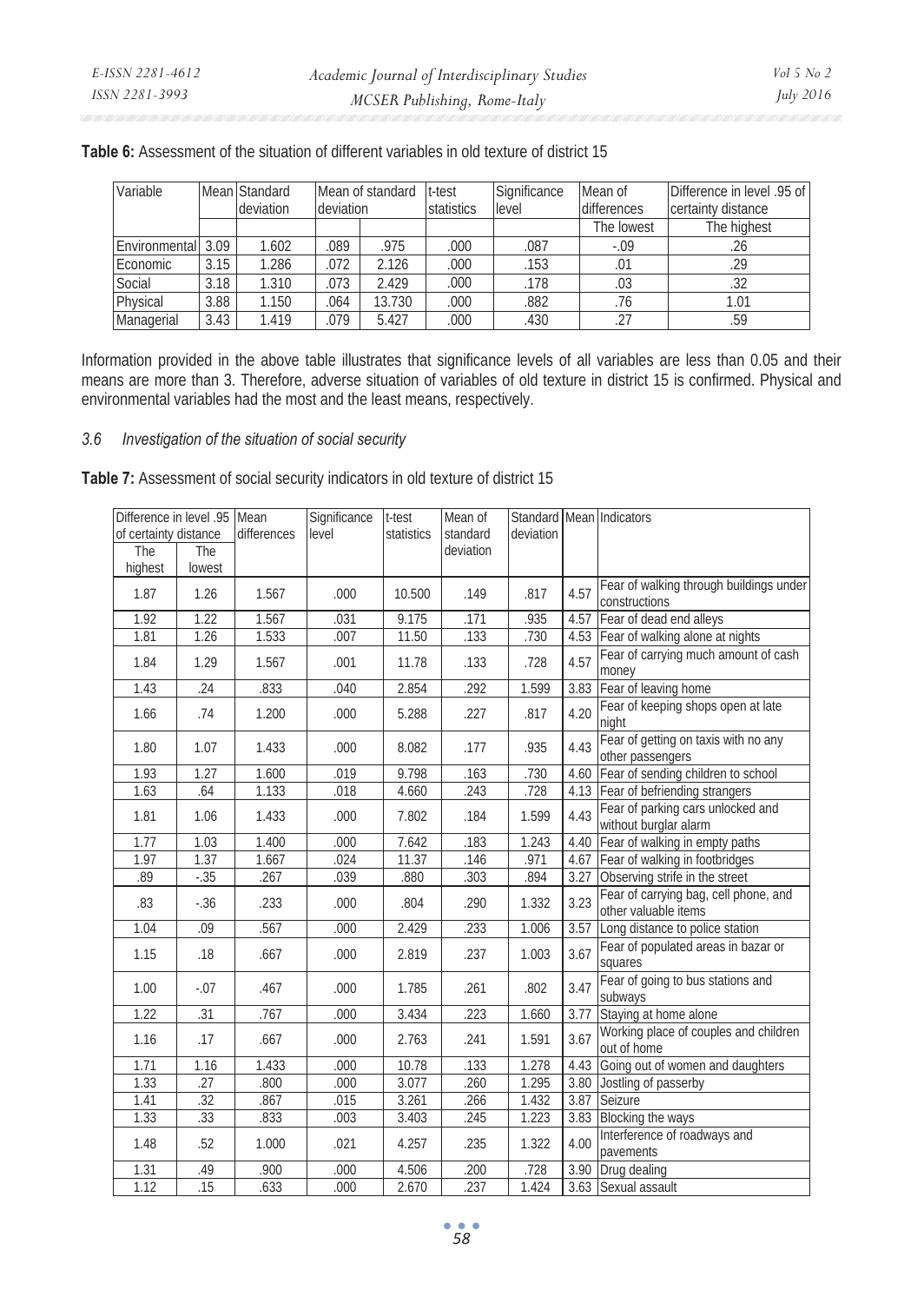| Variable           |      | Mean Standard | Mean of standard |        | t-test     | Significance | Mean of      | Difference in level .95 of |
|--------------------|------|---------------|------------------|--------|------------|--------------|--------------|----------------------------|
|                    |      | deviation     | deviation        |        | statistics | level        | differences  | certainty distance         |
|                    |      |               |                  |        |            |              | The lowest   | The highest                |
| Environmental 3.09 |      | 1.602         | .089             | .975   | .000       | .087         | $-.09$       | .26                        |
| Economic           | 3.15 | .286          | .072             | 2.126  | .000       | .153         | $.0^{\circ}$ | .29                        |
| Social             | 3.18 | 1.310         | .073             | 2.429  | .000       | .178         | .03          | .32                        |
| Physical           | 3.88 | 1.150         | .064             | 13.730 | .000       | .882         | .76          | 1.01                       |
| Managerial         | 3.43 | 1.419         | .079             | 5.427  | .000       | .430         | .27          | .59                        |

# **Table 6:** Assessment of the situation of different variables in old texture of district 15

Information provided in the above table illustrates that significance levels of all variables are less than 0.05 and their means are more than 3. Therefore, adverse situation of variables of old texture in district 15 is confirmed. Physical and environmental variables had the most and the least means, respectively.

# *3.6 Investigation of the situation of social security*

**Table 7:** Assessment of social security indicators in old texture of district 15

| Difference in level .95 Mean<br>of certainty distance<br>The | The     | differences | Significance<br>level | t-test<br>statistics | Mean of<br>standard<br>deviation | deviation |      | Standard Mean Indicators                                      |
|--------------------------------------------------------------|---------|-------------|-----------------------|----------------------|----------------------------------|-----------|------|---------------------------------------------------------------|
| highest                                                      | lowest  |             |                       |                      |                                  |           |      |                                                               |
| 1.87                                                         | 1.26    | 1.567       | .000                  | 10.500               | .149                             | .817      | 4.57 | Fear of walking through buildings under<br>constructions      |
| 1.92                                                         | 1.22    | 1.567       | .031                  | 9.175                | .171                             | .935      | 4.57 | Fear of dead end alleys                                       |
| 1.81                                                         | 1.26    | 1.533       | .007                  | 11.50                | .133                             | .730      |      | 4.53 Fear of walking alone at nights                          |
| 1.84                                                         | 1.29    | 1.567       | .001                  | 11.78                | .133                             | .728      | 4.57 | Fear of carrying much amount of cash<br>money                 |
| 1.43                                                         | .24     | .833        | .040                  | 2.854                | .292                             | 1.599     | 3.83 | Fear of leaving home                                          |
| 1.66                                                         | .74     | 1.200       | .000                  | 5.288                | .227                             | .817      | 4.20 | Fear of keeping shops open at late<br>night                   |
| 1.80                                                         | 1.07    | 1.433       | .000                  | 8.082                | .177                             | .935      | 4.43 | Fear of getting on taxis with no any<br>other passengers      |
| 1.93                                                         | 1.27    | 1.600       | .019                  | 9.798                | .163                             | .730      |      | 4.60 Fear of sending children to school                       |
| 1.63                                                         | .64     | 1.133       | .018                  | 4.660                | .243                             | .728      |      | 4.13 Fear of befriending strangers                            |
| 1.81                                                         | 1.06    | 1.433       | .000                  | 7.802                | .184                             | 1.599     | 4.43 | Fear of parking cars unlocked and<br>without burglar alarm    |
| 1.77                                                         | 1.03    | 1.400       | .000                  | 7.642                | .183                             | 1.243     |      | 4.40 Fear of walking in empty paths                           |
| 1.97                                                         | 1.37    | 1.667       | .024                  | 11.37                | .146                             | .971      |      | 4.67 Fear of walking in footbridges                           |
| .89                                                          | $-.35$  | 267         | .039                  | .880                 | .303                             | .894      |      | 3.27 Observing strife in the street                           |
| .83                                                          | $-.36$  | .233        | .000                  | .804                 | .290                             | 1.332     | 3.23 | Fear of carrying bag, cell phone, and<br>other valuable items |
| 1.04                                                         | .09     | .567        | .000                  | 2.429                | .233                             | 1.006     | 3.57 | Long distance to police station                               |
| 1.15                                                         | .18     | .667        | .000                  | 2.819                | .237                             | 1.003     | 3.67 | Fear of populated areas in bazar or<br>squares                |
| 1.00                                                         | $-0.07$ | .467        | .000                  | 1.785                | .261                             | .802      | 3.47 | Fear of going to bus stations and<br>subways                  |
| 1.22                                                         | .31     | .767        | .000                  | 3.434                | .223                             | 1.660     | 3.77 | Staying at home alone                                         |
| 1.16                                                         | .17     | .667        | .000                  | 2.763                | .241                             | 1.591     | 3.67 | Working place of couples and children<br>out of home          |
| 1.71                                                         | 1.16    | 1.433       | .000                  | 10.78                | .133                             | 1.278     | 4.43 | Going out of women and daughters                              |
| 1.33                                                         | .27     | .800        | .000                  | 3.077                | .260                             | 1.295     |      | 3.80 Jostling of passerby                                     |
| 1.41                                                         | .32     | .867        | .015                  | 3.261                | .266                             | 1.432     |      | 3.87 Seizure                                                  |
| 1.33                                                         | 33      | .833        | .003                  | 3.403                | .245                             | 1.223     |      | 3.83 Blocking the ways                                        |
| 1.48                                                         | .52     | 1.000       | .021                  | 4.257                | .235                             | 1.322     | 4.00 | Interference of roadways and<br>pavements                     |
| 1.31                                                         | .49     | .900        | .000                  | 4.506                | .200                             | .728      |      | 3.90 Drug dealing                                             |
| 1.12                                                         | .15     | .633        | .000                  | 2.670                | .237                             | 1.424     |      | 3.63 Sexual assault                                           |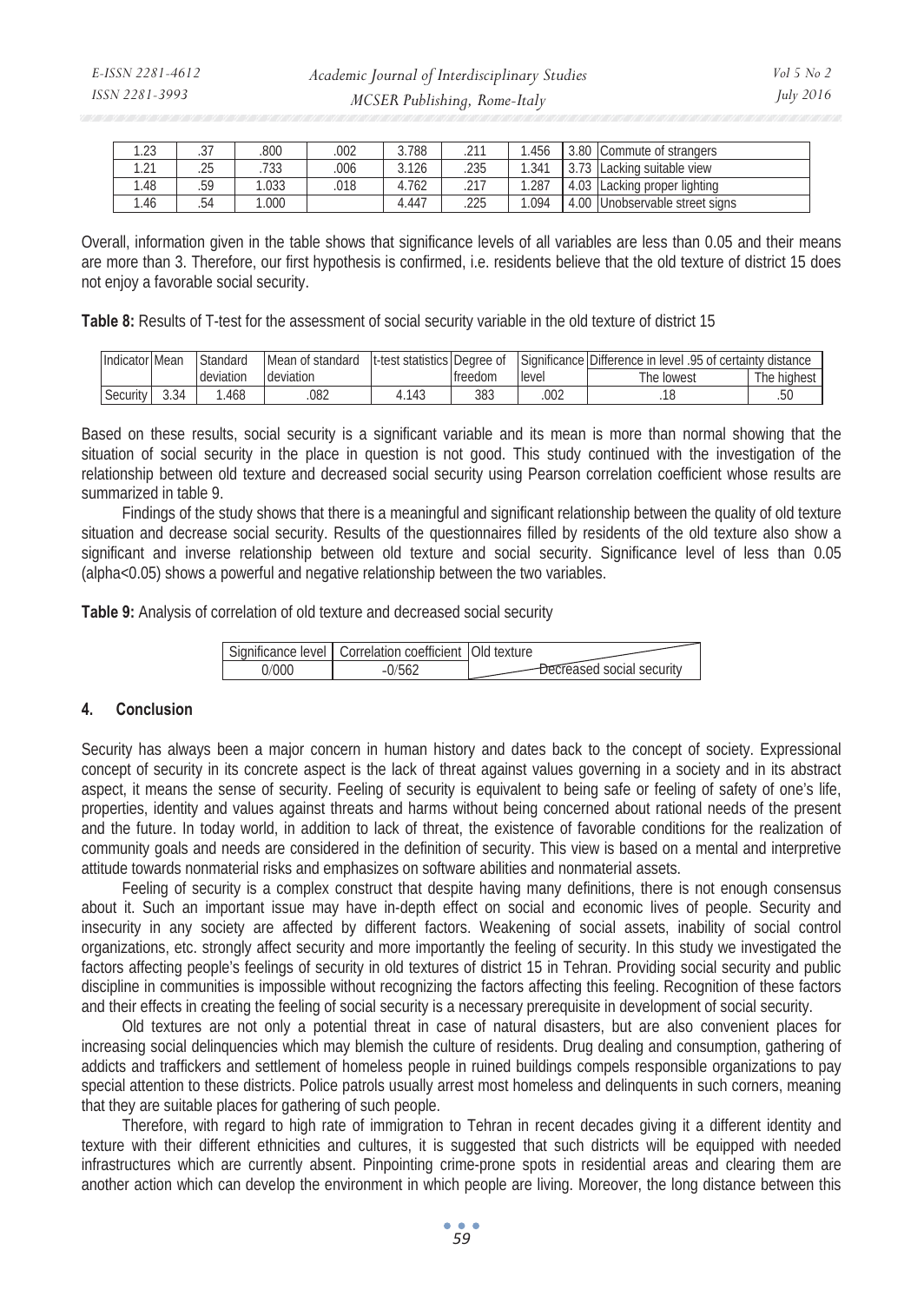| ່າາ<br>ن ے. ا      | $\sim$<br>، ت | .800         | .002 | 3.788      | 011<br>$-1$ | . 456 | 3.80 | Commute of strangers       |
|--------------------|---------------|--------------|------|------------|-------------|-------|------|----------------------------|
| $\bigcap$<br>ب ے ، | .25           | コつつ<br>. ७३३ | .006 | 3.126      | .235        | 1.341 | 70   | suitable view<br>Lacking r |
| . . 48             | .59           | .033         | .018 | 4.762<br>4 | 217<br>$-1$ | .287  | 4.03 | Lacking proper lighting    |
| .46                | .54           | .000         |      | 4.447      | .225        | .094  | 4.00 | Unobservable street signs  |

Overall, information given in the table shows that significance levels of all variables are less than 0.05 and their means are more than 3. Therefore, our first hypothesis is confirmed, i.e. residents believe that the old texture of district 15 does not enjoy a favorable social security.

**Table 8:** Results of T-test for the assessment of social security variable in the old texture of district 15

| Indicator Mean |      | Standard  | Mean of<br>standard | It-test statistics Degree of |         |        | Significance Difference in<br>.95 of certainty distance<br>level |             |
|----------------|------|-----------|---------------------|------------------------------|---------|--------|------------------------------------------------------------------|-------------|
|                |      | deviation | deviation           |                              | treedom | llevel | The lowest                                                       | The highest |
| Security       | 3.34 | .468      | 082                 | .143                         | 383     | .002   |                                                                  | .5U         |

Based on these results, social security is a significant variable and its mean is more than normal showing that the situation of social security in the place in question is not good. This study continued with the investigation of the relationship between old texture and decreased social security using Pearson correlation coefficient whose results are summarized in table 9.

Findings of the study shows that there is a meaningful and significant relationship between the quality of old texture situation and decrease social security. Results of the questionnaires filled by residents of the old texture also show a significant and inverse relationship between old texture and social security. Significance level of less than 0.05 (alpha<0.05) shows a powerful and negative relationship between the two variables.

**Table 9:** Analysis of correlation of old texture and decreased social security

| Significance level   Correlation coefficient   Old texture |                      |
|------------------------------------------------------------|----------------------|
|                                                            | ased social security |

# **4. Conclusion**

Security has always been a major concern in human history and dates back to the concept of society. Expressional concept of security in its concrete aspect is the lack of threat against values governing in a society and in its abstract aspect, it means the sense of security. Feeling of security is equivalent to being safe or feeling of safety of one's life, properties, identity and values against threats and harms without being concerned about rational needs of the present and the future. In today world, in addition to lack of threat, the existence of favorable conditions for the realization of community goals and needs are considered in the definition of security. This view is based on a mental and interpretive attitude towards nonmaterial risks and emphasizes on software abilities and nonmaterial assets.

Feeling of security is a complex construct that despite having many definitions, there is not enough consensus about it. Such an important issue may have in-depth effect on social and economic lives of people. Security and insecurity in any society are affected by different factors. Weakening of social assets, inability of social control organizations, etc. strongly affect security and more importantly the feeling of security. In this study we investigated the factors affecting people's feelings of security in old textures of district 15 in Tehran. Providing social security and public discipline in communities is impossible without recognizing the factors affecting this feeling. Recognition of these factors and their effects in creating the feeling of social security is a necessary prerequisite in development of social security.

Old textures are not only a potential threat in case of natural disasters, but are also convenient places for increasing social delinquencies which may blemish the culture of residents. Drug dealing and consumption, gathering of addicts and traffickers and settlement of homeless people in ruined buildings compels responsible organizations to pay special attention to these districts. Police patrols usually arrest most homeless and delinquents in such corners, meaning that they are suitable places for gathering of such people.

Therefore, with regard to high rate of immigration to Tehran in recent decades giving it a different identity and texture with their different ethnicities and cultures, it is suggested that such districts will be equipped with needed infrastructures which are currently absent. Pinpointing crime-prone spots in residential areas and clearing them are another action which can develop the environment in which people are living. Moreover, the long distance between this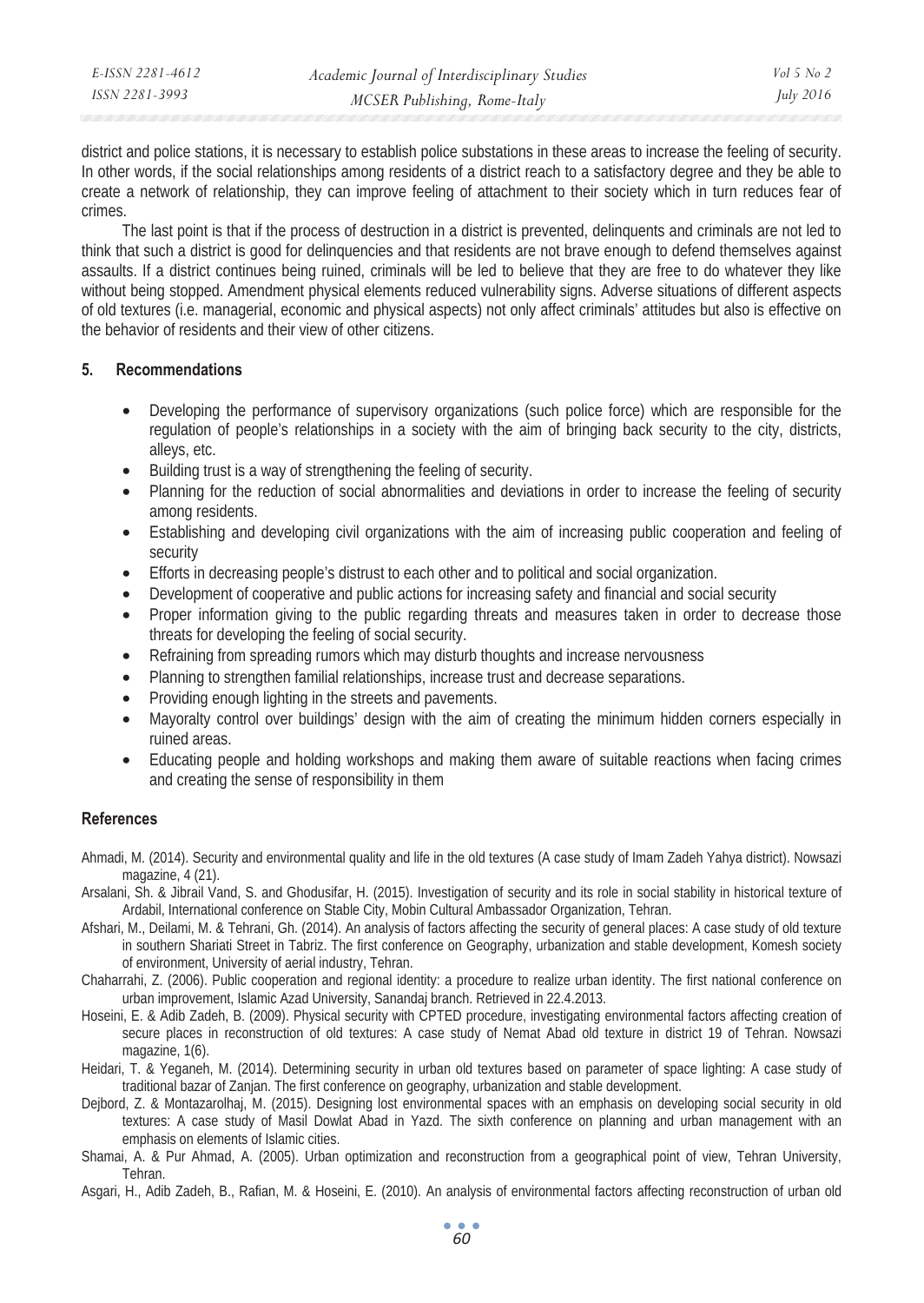| E-ISSN 2281-4612 | Academic Journal of Interdisciplinary Studies | Vol 5 No 2       |
|------------------|-----------------------------------------------|------------------|
| ISSN 2281-3993   | MCSER Publishing, Rome-Italy                  | <i>July 2016</i> |

district and police stations, it is necessary to establish police substations in these areas to increase the feeling of security. In other words, if the social relationships among residents of a district reach to a satisfactory degree and they be able to create a network of relationship, they can improve feeling of attachment to their society which in turn reduces fear of crimes.

The last point is that if the process of destruction in a district is prevented, delinquents and criminals are not led to think that such a district is good for delinquencies and that residents are not brave enough to defend themselves against assaults. If a district continues being ruined, criminals will be led to believe that they are free to do whatever they like without being stopped. Amendment physical elements reduced vulnerability signs. Adverse situations of different aspects of old textures (i.e. managerial, economic and physical aspects) not only affect criminals' attitudes but also is effective on the behavior of residents and their view of other citizens.

### **5. Recommendations**

- Developing the performance of supervisory organizations (such police force) which are responsible for the regulation of people's relationships in a society with the aim of bringing back security to the city, districts, alleys, etc.
- Building trust is a way of strengthening the feeling of security.
- Planning for the reduction of social abnormalities and deviations in order to increase the feeling of security among residents.
- Establishing and developing civil organizations with the aim of increasing public cooperation and feeling of security
- Efforts in decreasing people's distrust to each other and to political and social organization.
- Development of cooperative and public actions for increasing safety and financial and social security
- Proper information giving to the public regarding threats and measures taken in order to decrease those threats for developing the feeling of social security.
- Refraining from spreading rumors which may disturb thoughts and increase nervousness
- Planning to strengthen familial relationships, increase trust and decrease separations.
- Providing enough lighting in the streets and pavements.
- Mayoralty control over buildings' design with the aim of creating the minimum hidden corners especially in ruined areas.
- Educating people and holding workshops and making them aware of suitable reactions when facing crimes and creating the sense of responsibility in them

## **References**

- Ahmadi, M. (2014). Security and environmental quality and life in the old textures (A case study of Imam Zadeh Yahya district). Nowsazi magazine, 4 (21).
- Arsalani, Sh. & Jibrail Vand, S. and Ghodusifar, H. (2015). Investigation of security and its role in social stability in historical texture of Ardabil, International conference on Stable City, Mobin Cultural Ambassador Organization, Tehran.
- Afshari, M., Deilami, M. & Tehrani, Gh. (2014). An analysis of factors affecting the security of general places: A case study of old texture in southern Shariati Street in Tabriz. The first conference on Geography, urbanization and stable development, Komesh society of environment, University of aerial industry, Tehran.
- Chaharrahi, Z. (2006). Public cooperation and regional identity: a procedure to realize urban identity. The first national conference on urban improvement, Islamic Azad University, Sanandaj branch. Retrieved in 22.4.2013.
- Hoseini, E. & Adib Zadeh, B. (2009). Physical security with CPTED procedure, investigating environmental factors affecting creation of secure places in reconstruction of old textures: A case study of Nemat Abad old texture in district 19 of Tehran. Nowsazi magazine, 1(6).
- Heidari, T. & Yeganeh, M. (2014). Determining security in urban old textures based on parameter of space lighting: A case study of traditional bazar of Zanjan. The first conference on geography, urbanization and stable development.
- Dejbord, Z. & Montazarolhaj, M. (2015). Designing lost environmental spaces with an emphasis on developing social security in old textures: A case study of Masil Dowlat Abad in Yazd. The sixth conference on planning and urban management with an emphasis on elements of Islamic cities.
- Shamai, A. & Pur Ahmad, A. (2005). Urban optimization and reconstruction from a geographical point of view, Tehran University, Tehran.
- Asgari, H., Adib Zadeh, B., Rafian, M. & Hoseini, E. (2010). An analysis of environmental factors affecting reconstruction of urban old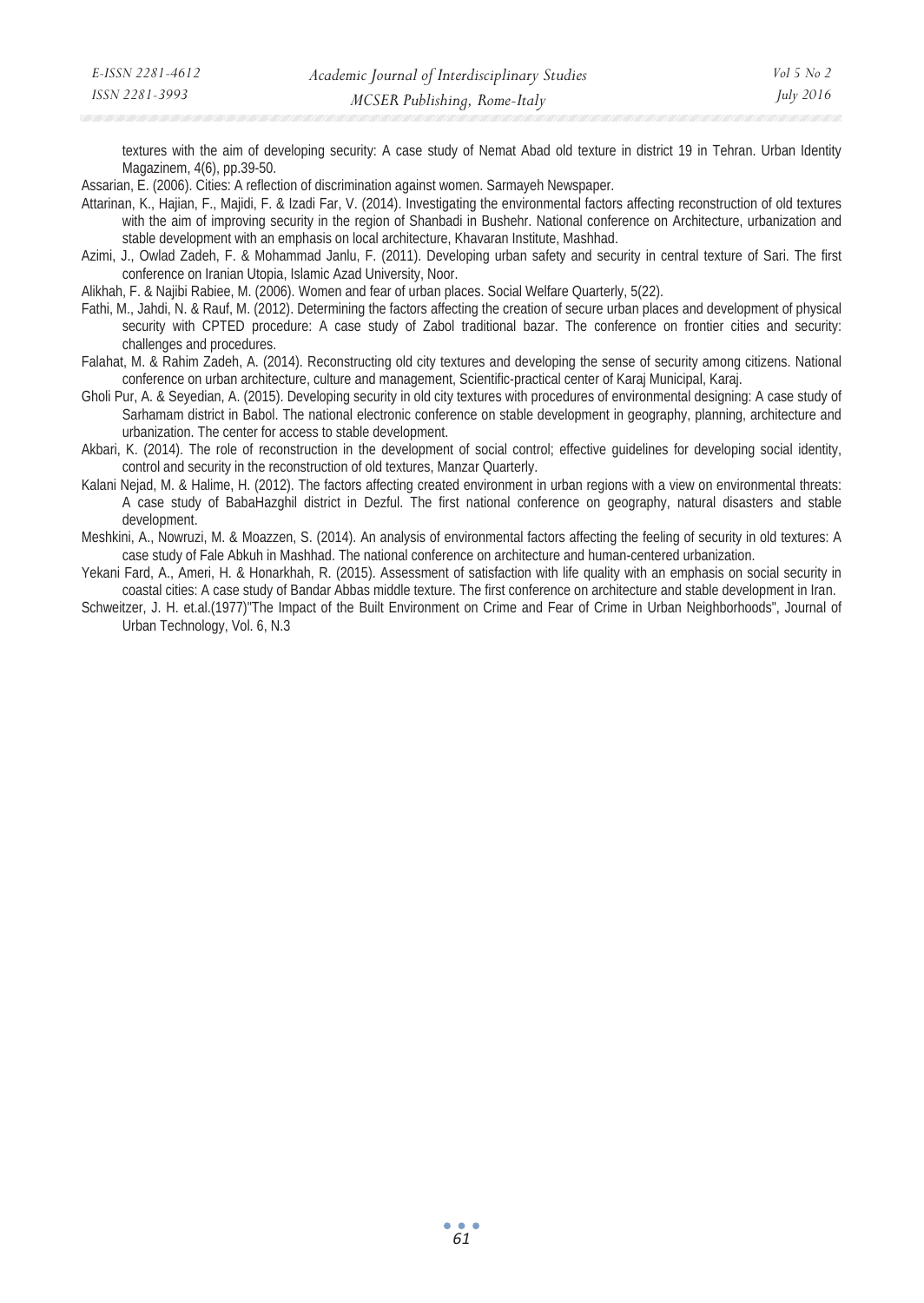textures with the aim of developing security: A case study of Nemat Abad old texture in district 19 in Tehran. Urban Identity Magazinem, 4(6), pp.39-50.

Assarian, E. (2006). Cities: A reflection of discrimination against women. Sarmayeh Newspaper.

Attarinan, K., Hajian, F., Majidi, F. & Izadi Far, V. (2014). Investigating the environmental factors affecting reconstruction of old textures with the aim of improving security in the region of Shanbadi in Bushehr. National conference on Architecture, urbanization and stable development with an emphasis on local architecture, Khavaran Institute, Mashhad.

Azimi, J., Owlad Zadeh, F. & Mohammad Janlu, F. (2011). Developing urban safety and security in central texture of Sari. The first conference on Iranian Utopia, Islamic Azad University, Noor.

Alikhah, F. & Najibi Rabiee, M. (2006). Women and fear of urban places. Social Welfare Quarterly, 5(22).

- Fathi, M., Jahdi, N. & Rauf, M. (2012). Determining the factors affecting the creation of secure urban places and development of physical security with CPTED procedure: A case study of Zabol traditional bazar. The conference on frontier cities and security: challenges and procedures.
- Falahat, M. & Rahim Zadeh, A. (2014). Reconstructing old city textures and developing the sense of security among citizens. National conference on urban architecture, culture and management, Scientific-practical center of Karaj Municipal, Karaj.
- Gholi Pur, A. & Seyedian, A. (2015). Developing security in old city textures with procedures of environmental designing: A case study of Sarhamam district in Babol. The national electronic conference on stable development in geography, planning, architecture and urbanization. The center for access to stable development.
- Akbari, K. (2014). The role of reconstruction in the development of social control; effective guidelines for developing social identity, control and security in the reconstruction of old textures, Manzar Quarterly.
- Kalani Nejad, M. & Halime, H. (2012). The factors affecting created environment in urban regions with a view on environmental threats: A case study of BabaHazghil district in Dezful. The first national conference on geography, natural disasters and stable development.
- Meshkini, A., Nowruzi, M. & Moazzen, S. (2014). An analysis of environmental factors affecting the feeling of security in old textures: A case study of Fale Abkuh in Mashhad. The national conference on architecture and human-centered urbanization.
- Yekani Fard, A., Ameri, H. & Honarkhah, R. (2015). Assessment of satisfaction with life quality with an emphasis on social security in coastal cities: A case study of Bandar Abbas middle texture. The first conference on architecture and stable development in Iran.
- Schweitzer, J. H. et.al.(1977)"The Impact of the Built Environment on Crime and Fear of Crime in Urban Neighborhoods", Journal of Urban Technology, Vol. 6, N.3